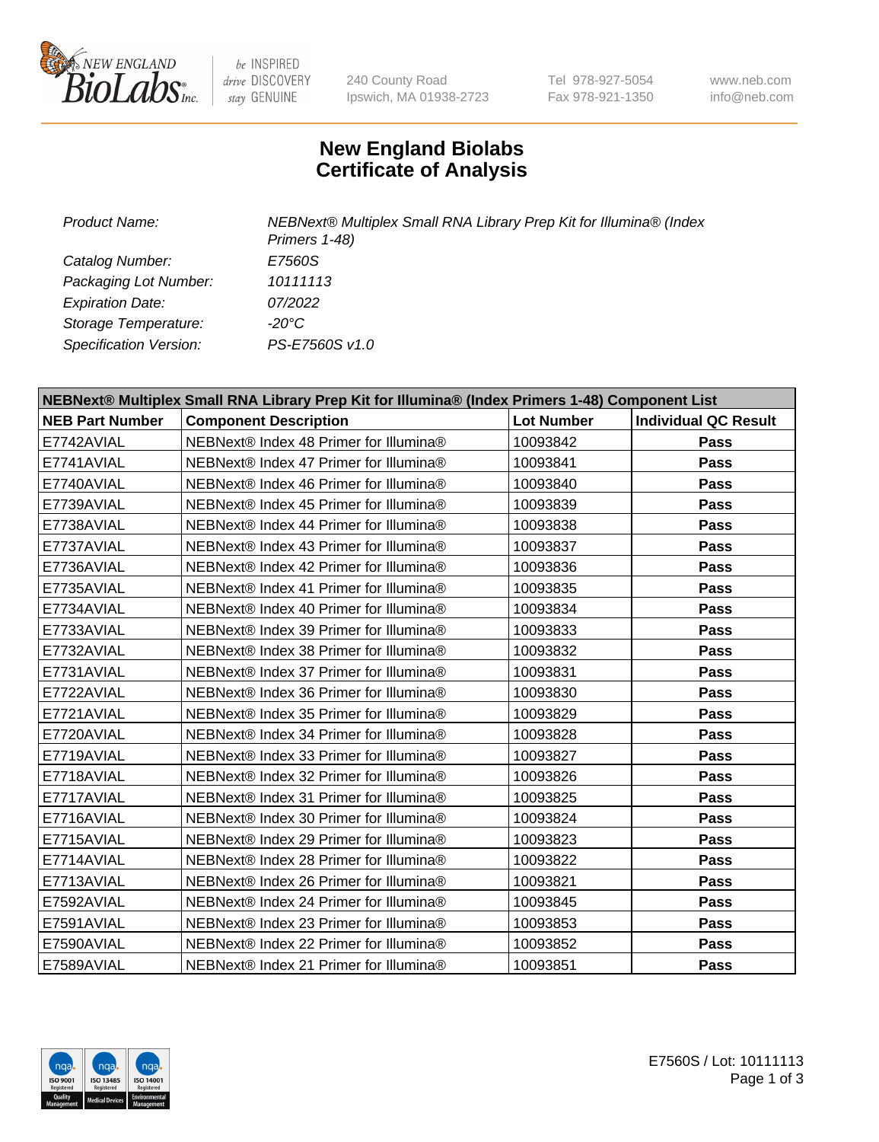

be INSPIRED drive DISCOVERY stay GENUINE

240 County Road Ipswich, MA 01938-2723 Tel 978-927-5054 Fax 978-921-1350

www.neb.com info@neb.com

## **New England Biolabs Certificate of Analysis**

*Product Name: NEBNext® Multiplex Small RNA Library Prep Kit for Illumina® (Index Primers 1-48) Catalog Number: E7560S Packaging Lot Number: 10111113 Expiration Date: 07/2022 Storage Temperature: -20°C Specification Version: PS-E7560S v1.0*

| NEBNext® Multiplex Small RNA Library Prep Kit for Illumina® (Index Primers 1-48) Component List |                                        |                   |                             |  |
|-------------------------------------------------------------------------------------------------|----------------------------------------|-------------------|-----------------------------|--|
| <b>NEB Part Number</b>                                                                          | <b>Component Description</b>           | <b>Lot Number</b> | <b>Individual QC Result</b> |  |
| E7742AVIAL                                                                                      | NEBNext® Index 48 Primer for Illumina® | 10093842          | <b>Pass</b>                 |  |
| E7741AVIAL                                                                                      | NEBNext® Index 47 Primer for Illumina® | 10093841          | <b>Pass</b>                 |  |
| E7740AVIAL                                                                                      | NEBNext® Index 46 Primer for Illumina® | 10093840          | <b>Pass</b>                 |  |
| E7739AVIAL                                                                                      | NEBNext® Index 45 Primer for Illumina® | 10093839          | <b>Pass</b>                 |  |
| E7738AVIAL                                                                                      | NEBNext® Index 44 Primer for Illumina® | 10093838          | <b>Pass</b>                 |  |
| E7737AVIAL                                                                                      | NEBNext® Index 43 Primer for Illumina® | 10093837          | <b>Pass</b>                 |  |
| E7736AVIAL                                                                                      | NEBNext® Index 42 Primer for Illumina® | 10093836          | <b>Pass</b>                 |  |
| E7735AVIAL                                                                                      | NEBNext® Index 41 Primer for Illumina® | 10093835          | <b>Pass</b>                 |  |
| E7734AVIAL                                                                                      | NEBNext® Index 40 Primer for Illumina® | 10093834          | <b>Pass</b>                 |  |
| E7733AVIAL                                                                                      | NEBNext® Index 39 Primer for Illumina® | 10093833          | Pass                        |  |
| E7732AVIAL                                                                                      | NEBNext® Index 38 Primer for Illumina® | 10093832          | <b>Pass</b>                 |  |
| E7731AVIAL                                                                                      | NEBNext® Index 37 Primer for Illumina® | 10093831          | <b>Pass</b>                 |  |
| E7722AVIAL                                                                                      | NEBNext® Index 36 Primer for Illumina® | 10093830          | <b>Pass</b>                 |  |
| E7721AVIAL                                                                                      | NEBNext® Index 35 Primer for Illumina® | 10093829          | <b>Pass</b>                 |  |
| E7720AVIAL                                                                                      | NEBNext® Index 34 Primer for Illumina® | 10093828          | <b>Pass</b>                 |  |
| E7719AVIAL                                                                                      | NEBNext® Index 33 Primer for Illumina® | 10093827          | <b>Pass</b>                 |  |
| E7718AVIAL                                                                                      | NEBNext® Index 32 Primer for Illumina® | 10093826          | <b>Pass</b>                 |  |
| E7717AVIAL                                                                                      | NEBNext® Index 31 Primer for Illumina® | 10093825          | <b>Pass</b>                 |  |
| E7716AVIAL                                                                                      | NEBNext® Index 30 Primer for Illumina® | 10093824          | <b>Pass</b>                 |  |
| E7715AVIAL                                                                                      | NEBNext® Index 29 Primer for Illumina® | 10093823          | <b>Pass</b>                 |  |
| E7714AVIAL                                                                                      | NEBNext® Index 28 Primer for Illumina® | 10093822          | <b>Pass</b>                 |  |
| E7713AVIAL                                                                                      | NEBNext® Index 26 Primer for Illumina® | 10093821          | <b>Pass</b>                 |  |
| E7592AVIAL                                                                                      | NEBNext® Index 24 Primer for Illumina® | 10093845          | Pass                        |  |
| E7591AVIAL                                                                                      | NEBNext® Index 23 Primer for Illumina® | 10093853          | <b>Pass</b>                 |  |
| E7590AVIAL                                                                                      | NEBNext® Index 22 Primer for Illumina® | 10093852          | <b>Pass</b>                 |  |
| E7589AVIAL                                                                                      | NEBNext® Index 21 Primer for Illumina® | 10093851          | Pass                        |  |

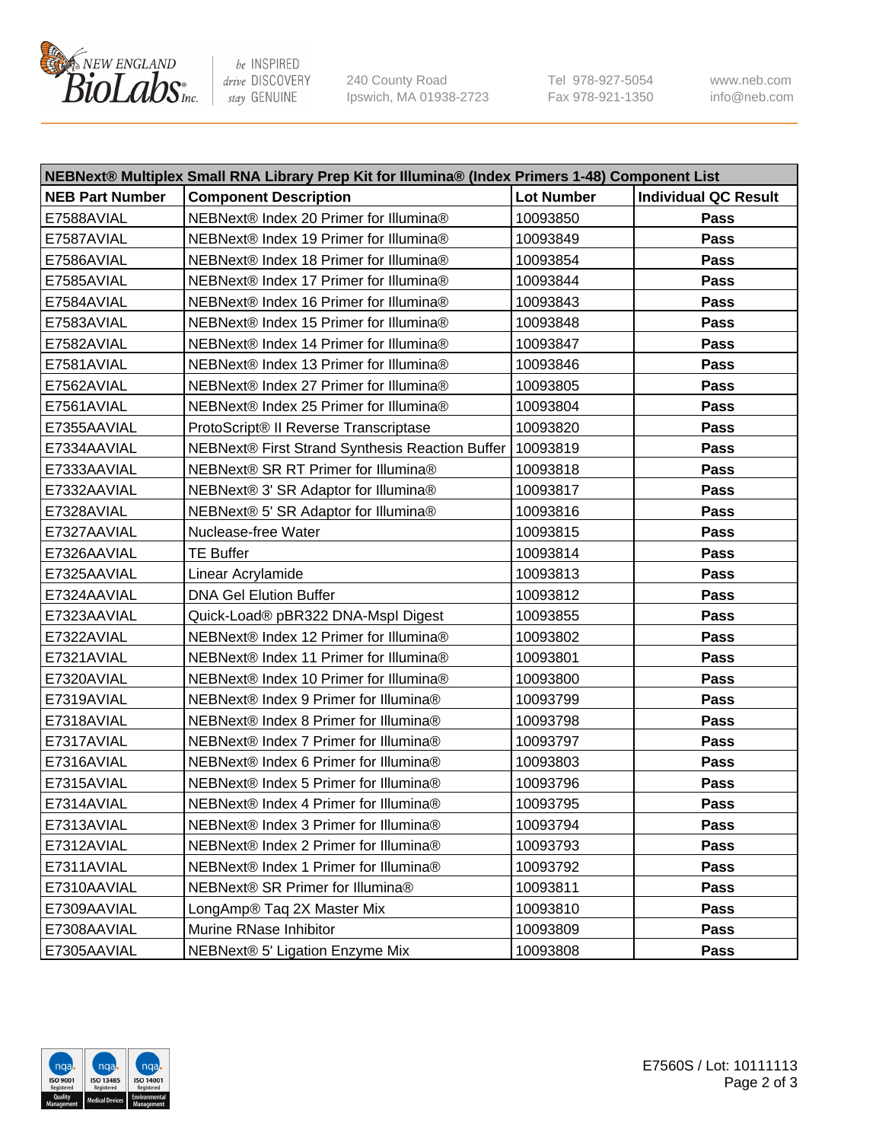

be INSPIRED drive DISCOVERY stay GENUINE

240 County Road Ipswich, MA 01938-2723 Tel 978-927-5054 Fax 978-921-1350 www.neb.com info@neb.com

| NEBNext® Multiplex Small RNA Library Prep Kit for Illumina® (Index Primers 1-48) Component List |                                                            |                   |                             |  |
|-------------------------------------------------------------------------------------------------|------------------------------------------------------------|-------------------|-----------------------------|--|
| <b>NEB Part Number</b>                                                                          | <b>Component Description</b>                               | <b>Lot Number</b> | <b>Individual QC Result</b> |  |
| E7588AVIAL                                                                                      | NEBNext® Index 20 Primer for Illumina®                     | 10093850          | Pass                        |  |
| E7587AVIAL                                                                                      | NEBNext® Index 19 Primer for Illumina®                     | 10093849          | Pass                        |  |
| E7586AVIAL                                                                                      | NEBNext® Index 18 Primer for Illumina®                     | 10093854          | Pass                        |  |
| E7585AVIAL                                                                                      | NEBNext® Index 17 Primer for Illumina®                     | 10093844          | Pass                        |  |
| E7584AVIAL                                                                                      | NEBNext® Index 16 Primer for Illumina®                     | 10093843          | Pass                        |  |
| E7583AVIAL                                                                                      | NEBNext® Index 15 Primer for Illumina®                     | 10093848          | Pass                        |  |
| E7582AVIAL                                                                                      | NEBNext® Index 14 Primer for Illumina®                     | 10093847          | Pass                        |  |
| E7581AVIAL                                                                                      | NEBNext® Index 13 Primer for Illumina®                     | 10093846          | Pass                        |  |
| E7562AVIAL                                                                                      | NEBNext® Index 27 Primer for Illumina®                     | 10093805          | Pass                        |  |
| E7561AVIAL                                                                                      | NEBNext® Index 25 Primer for Illumina®                     | 10093804          | Pass                        |  |
| E7355AAVIAL                                                                                     | ProtoScript® II Reverse Transcriptase                      | 10093820          | Pass                        |  |
| E7334AAVIAL                                                                                     | NEBNext® First Strand Synthesis Reaction Buffer   10093819 |                   | Pass                        |  |
| E7333AAVIAL                                                                                     | NEBNext® SR RT Primer for Illumina®                        | 10093818          | Pass                        |  |
| E7332AAVIAL                                                                                     | NEBNext® 3' SR Adaptor for Illumina®                       | 10093817          | Pass                        |  |
| E7328AVIAL                                                                                      | NEBNext® 5' SR Adaptor for Illumina®                       | 10093816          | Pass                        |  |
| E7327AAVIAL                                                                                     | Nuclease-free Water                                        | 10093815          | Pass                        |  |
| E7326AAVIAL                                                                                     | <b>TE Buffer</b>                                           | 10093814          | Pass                        |  |
| E7325AAVIAL                                                                                     | Linear Acrylamide                                          | 10093813          | Pass                        |  |
| E7324AAVIAL                                                                                     | <b>DNA Gel Elution Buffer</b>                              | 10093812          | Pass                        |  |
| E7323AAVIAL                                                                                     | Quick-Load® pBR322 DNA-Mspl Digest                         | 10093855          | Pass                        |  |
| E7322AVIAL                                                                                      | NEBNext® Index 12 Primer for Illumina®                     | 10093802          | Pass                        |  |
| E7321AVIAL                                                                                      | NEBNext® Index 11 Primer for Illumina®                     | 10093801          | Pass                        |  |
| E7320AVIAL                                                                                      | NEBNext® Index 10 Primer for Illumina®                     | 10093800          | Pass                        |  |
| E7319AVIAL                                                                                      | NEBNext® Index 9 Primer for Illumina®                      | 10093799          | Pass                        |  |
| E7318AVIAL                                                                                      | NEBNext® Index 8 Primer for Illumina®                      | 10093798          | Pass                        |  |
| E7317AVIAL                                                                                      | NEBNext® Index 7 Primer for Illumina®                      | 10093797          | Pass                        |  |
| E7316AVIAL                                                                                      | NEBNext® Index 6 Primer for Illumina®                      | 10093803          | Pass                        |  |
| E7315AVIAL                                                                                      | NEBNext® Index 5 Primer for Illumina®                      | 10093796          | Pass                        |  |
| E7314AVIAL                                                                                      | NEBNext® Index 4 Primer for Illumina®                      | 10093795          | Pass                        |  |
| E7313AVIAL                                                                                      | NEBNext® Index 3 Primer for Illumina®                      | 10093794          | <b>Pass</b>                 |  |
| E7312AVIAL                                                                                      | NEBNext® Index 2 Primer for Illumina®                      | 10093793          | Pass                        |  |
| E7311AVIAL                                                                                      | NEBNext® Index 1 Primer for Illumina®                      | 10093792          | Pass                        |  |
| E7310AAVIAL                                                                                     | NEBNext® SR Primer for Illumina®                           | 10093811          | Pass                        |  |
| E7309AAVIAL                                                                                     | LongAmp® Taq 2X Master Mix                                 | 10093810          | Pass                        |  |
| E7308AAVIAL                                                                                     | Murine RNase Inhibitor                                     | 10093809          | Pass                        |  |
| E7305AAVIAL                                                                                     | NEBNext® 5' Ligation Enzyme Mix                            | 10093808          | Pass                        |  |